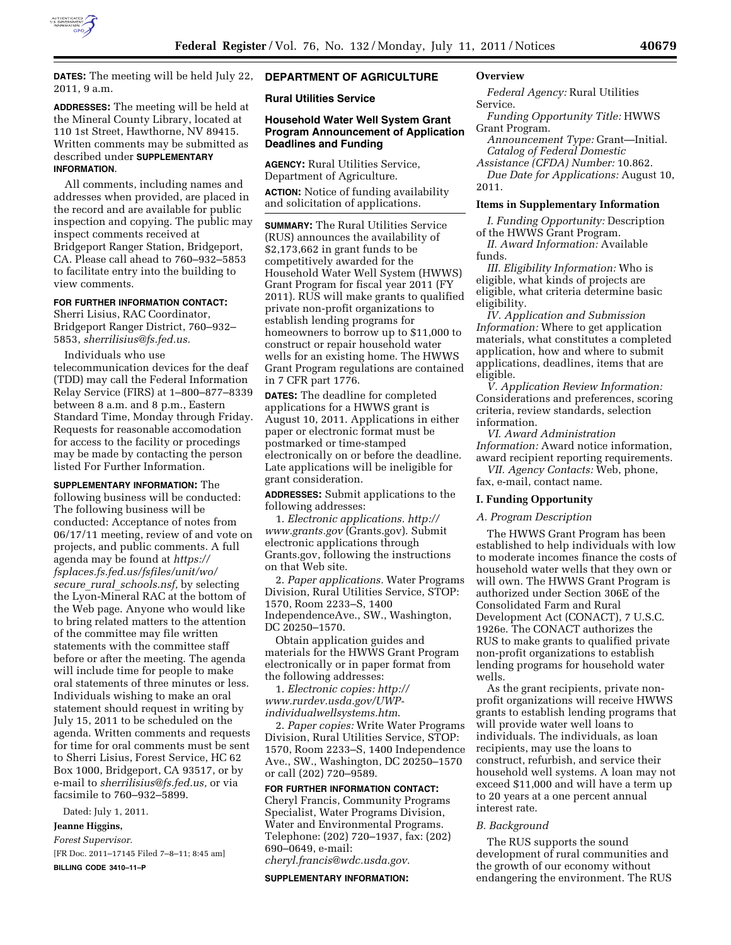

**DATES:** The meeting will be held July 22, 2011, 9 a.m.

# **ADDRESSES:** The meeting will be held at the Mineral County Library, located at 110 1st Street, Hawthorne, NV 89415. Written comments may be submitted as described under **SUPPLEMENTARY INFORMATION**.

All comments, including names and addresses when provided, are placed in the record and are available for public inspection and copying. The public may inspect comments received at Bridgeport Ranger Station, Bridgeport, CA. Please call ahead to 760–932–5853 to facilitate entry into the building to view comments.

# **FOR FURTHER INFORMATION CONTACT:**

Sherri Lisius, RAC Coordinator, Bridgeport Ranger District, 760–932– 5853, *[sherrilisius@fs.fed.us.](mailto:sherrilisius@fs.fed.us)* 

Individuals who use telecommunication devices for the deaf (TDD) may call the Federal Information Relay Service (FIRS) at 1–800–877–8339 between 8 a.m. and 8 p.m., Eastern Standard Time, Monday through Friday. Requests for reasonable accomodation for access to the facility or procedings may be made by contacting the person listed For Further Information.

**SUPPLEMENTARY INFORMATION:** The following business will be conducted: The following business will be conducted: Acceptance of notes from 06/17/11 meeting, review of and vote on projects, and public comments. A full agenda may be found at *[https://](https://fsplaces.fs.fed.us/fsfiles/unit/wo/secure_rural_schools.nsf)  [fsplaces.fs.fed.us/fsfiles/unit/wo/](https://fsplaces.fs.fed.us/fsfiles/unit/wo/secure_rural_schools.nsf) secure*\_*rural*\_*[schools.nsf,](https://fsplaces.fs.fed.us/fsfiles/unit/wo/secure_rural_schools.nsf)* by selecting the Lyon-Mineral RAC at the bottom of the Web page. Anyone who would like to bring related matters to the attention of the committee may file written statements with the committee staff before or after the meeting. The agenda will include time for people to make oral statements of three minutes or less. Individuals wishing to make an oral statement should request in writing by July 15, 2011 to be scheduled on the agenda. Written comments and requests for time for oral comments must be sent to Sherri Lisius, Forest Service, HC 62 Box 1000, Bridgeport, CA 93517, or by e-mail to *[sherrilisius@fs.fed.us,](mailto:sherrilisius@fs.fed.us)* or via facsimile to 760–932–5899.

Dated: July 1, 2011.

# **Jeanne Higgins,**

*Forest Supervisor.* 

[FR Doc. 2011–17145 Filed 7–8–11; 8:45 am]

**BILLING CODE 3410–11–P** 

# **DEPARTMENT OF AGRICULTURE**

# **Rural Utilities Service**

# **Household Water Well System Grant Program Announcement of Application Deadlines and Funding**

**AGENCY:** Rural Utilities Service, Department of Agriculture.

**ACTION:** Notice of funding availability and solicitation of applications.

**SUMMARY:** The Rural Utilities Service (RUS) announces the availability of \$2,173,662 in grant funds to be competitively awarded for the Household Water Well System (HWWS) Grant Program for fiscal year 2011 (FY 2011). RUS will make grants to qualified private non-profit organizations to establish lending programs for homeowners to borrow up to \$11,000 to construct or repair household water wells for an existing home. The HWWS Grant Program regulations are contained in 7 CFR part 1776.

**DATES:** The deadline for completed applications for a HWWS grant is August 10, 2011. Applications in either paper or electronic format must be postmarked or time-stamped electronically on or before the deadline. Late applications will be ineligible for grant consideration.

**ADDRESSES:** Submit applications to the following addresses:

1. *Electronic applications. [http://](http://www.grants.gov) [www.grants.gov](http://www.grants.gov)* (Grants.gov). Submit electronic applications through Grants.gov, following the instructions on that Web site.

2. *Paper applications.* Water Programs Division, Rural Utilities Service, STOP: 1570, Room 2233–S, 1400 IndependenceAve., SW., Washington, DC 20250–1570.

Obtain application guides and materials for the HWWS Grant Program electronically or in paper format from the following addresses:

1. *Electronic copies: [http://](http://www.rurdev.usda.gov/UWP-individualwellsystems.htm)  [www.rurdev.usda.gov/UWP](http://www.rurdev.usda.gov/UWP-individualwellsystems.htm)[individualwellsystems.htm](http://www.rurdev.usda.gov/UWP-individualwellsystems.htm)*.

2. *Paper copies:* Write Water Programs Division, Rural Utilities Service, STOP: 1570, Room 2233–S, 1400 Independence Ave., SW., Washington, DC 20250–1570 or call (202) 720–9589.

# **FOR FURTHER INFORMATION CONTACT:**

Cheryl Francis, Community Programs Specialist, Water Programs Division, Water and Environmental Programs. Telephone: (202) 720–1937, fax: (202) 690–0649, e-mail:

*[cheryl.francis@wdc.usda.gov.](mailto:cheryl.francis@wdc.usda.gov)* 

#### **SUPPLEMENTARY INFORMATION:**

# **Overview**

*Federal Agency:* Rural Utilities Service.

*Funding Opportunity Title:* HWWS Grant Program.

*Announcement Type:* Grant—Initial. *Catalog of Federal Domestic* 

*Assistance (CFDA) Number:* 10.862. *Due Date for Applications:* August 10, 2011.

#### **Items in Supplementary Information**

*I. Funding Opportunity:* Description of the HWWS Grant Program.

*II. Award Information:* Available funds.

*III. Eligibility Information:* Who is eligible, what kinds of projects are eligible, what criteria determine basic eligibility.

*IV. Application and Submission Information:* Where to get application materials, what constitutes a completed application, how and where to submit applications, deadlines, items that are eligible.

*V. Application Review Information:*  Considerations and preferences, scoring criteria, review standards, selection information.

*VI. Award Administration Information:* Award notice information, award recipient reporting requirements. *VII. Agency Contacts:* Web, phone,

fax, e-mail, contact name.

### **I. Funding Opportunity**

### *A. Program Description*

The HWWS Grant Program has been established to help individuals with low to moderate incomes finance the costs of household water wells that they own or will own. The HWWS Grant Program is authorized under Section 306E of the Consolidated Farm and Rural Development Act (CONACT), 7 U.S.C. 1926e. The CONACT authorizes the RUS to make grants to qualified private non-profit organizations to establish lending programs for household water wells.

As the grant recipients, private nonprofit organizations will receive HWWS grants to establish lending programs that will provide water well loans to individuals. The individuals, as loan recipients, may use the loans to construct, refurbish, and service their household well systems. A loan may not exceed \$11,000 and will have a term up to 20 years at a one percent annual interest rate.

### *B. Background*

The RUS supports the sound development of rural communities and the growth of our economy without endangering the environment. The RUS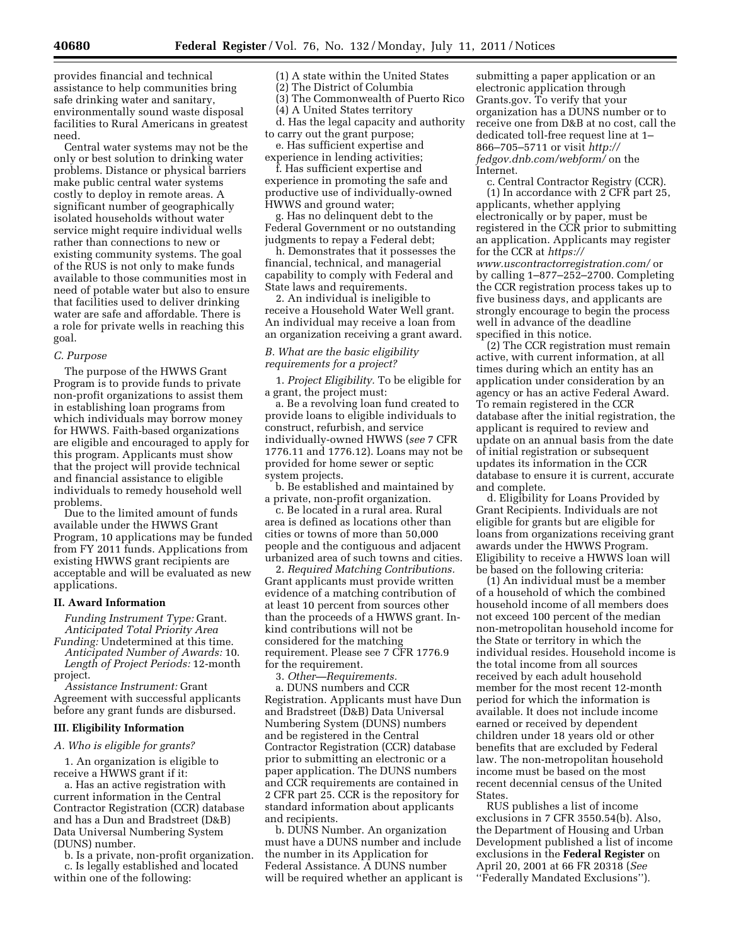provides financial and technical assistance to help communities bring safe drinking water and sanitary, environmentally sound waste disposal facilities to Rural Americans in greatest need.

Central water systems may not be the only or best solution to drinking water problems. Distance or physical barriers make public central water systems costly to deploy in remote areas. A significant number of geographically isolated households without water service might require individual wells rather than connections to new or existing community systems. The goal of the RUS is not only to make funds available to those communities most in need of potable water but also to ensure that facilities used to deliver drinking water are safe and affordable. There is a role for private wells in reaching this goal.

#### *C. Purpose*

The purpose of the HWWS Grant Program is to provide funds to private non-profit organizations to assist them in establishing loan programs from which individuals may borrow money for HWWS. Faith-based organizations are eligible and encouraged to apply for this program. Applicants must show that the project will provide technical and financial assistance to eligible individuals to remedy household well problems.

Due to the limited amount of funds available under the HWWS Grant Program, 10 applications may be funded from FY 2011 funds. Applications from existing HWWS grant recipients are acceptable and will be evaluated as new applications.

#### **II. Award Information**

*Funding Instrument Type:* Grant. *Anticipated Total Priority Area* 

*Funding:* Undetermined at this time. *Anticipated Number of Awards:* 10. *Length of Project Periods:* 12-month project.

*Assistance Instrument:* Grant Agreement with successful applicants before any grant funds are disbursed.

### **III. Eligibility Information**

*A. Who is eligible for grants?* 

1. An organization is eligible to receive a HWWS grant if it:

a. Has an active registration with current information in the Central Contractor Registration (CCR) database and has a Dun and Bradstreet (D&B) Data Universal Numbering System (DUNS) number.

b. Is a private, non-profit organization. c. Is legally established and located within one of the following:

(1) A state within the United States

(2) The District of Columbia

(3) The Commonwealth of Puerto Rico

(4) A United States territory

d. Has the legal capacity and authority to carry out the grant purpose;

e. Has sufficient expertise and experience in lending activities;

f. Has sufficient expertise and experience in promoting the safe and productive use of individually-owned HWWS and ground water;

g. Has no delinquent debt to the Federal Government or no outstanding judgments to repay a Federal debt;

h. Demonstrates that it possesses the financial, technical, and managerial capability to comply with Federal and State laws and requirements.

2. An individual is ineligible to receive a Household Water Well grant. An individual may receive a loan from an organization receiving a grant award.

### *B. What are the basic eligibility requirements for a project?*

1. *Project Eligibility.* To be eligible for a grant, the project must:

a. Be a revolving loan fund created to provide loans to eligible individuals to construct, refurbish, and service individually-owned HWWS (*see* 7 CFR 1776.11 and 1776.12). Loans may not be provided for home sewer or septic system projects.

b. Be established and maintained by a private, non-profit organization.

c. Be located in a rural area. Rural area is defined as locations other than cities or towns of more than 50,000 people and the contiguous and adjacent urbanized area of such towns and cities.

2. *Required Matching Contributions.*  Grant applicants must provide written evidence of a matching contribution of at least 10 percent from sources other than the proceeds of a HWWS grant. Inkind contributions will not be considered for the matching requirement. Please see 7 CFR 1776.9 for the requirement.

3. *Other—Requirements.* 

a. DUNS numbers and CCR Registration. Applicants must have Dun and Bradstreet (D&B) Data Universal Numbering System (DUNS) numbers and be registered in the Central Contractor Registration (CCR) database prior to submitting an electronic or a paper application. The DUNS numbers and CCR requirements are contained in 2 CFR part 25. CCR is the repository for standard information about applicants and recipients.

b. DUNS Number. An organization must have a DUNS number and include the number in its Application for Federal Assistance. A DUNS number will be required whether an applicant is

submitting a paper application or an electronic application through Grants.gov. To verify that your organization has a DUNS number or to receive one from D&B at no cost, call the dedicated toll-free request line at 1– 866–705–5711 or visit *[http://](http://fedgov.dnb.com/webform/) [fedgov.dnb.com/webform/](http://fedgov.dnb.com/webform/)* on the Internet.

c. Central Contractor Registry (CCR). (1) In accordance with  $2 \overline{CFR}$  part 25, applicants, whether applying electronically or by paper, must be registered in the CCR prior to submitting an application. Applicants may register for the CCR at *[https://](https://www.uscontractorregistration.com/)* 

*[www.uscontractorregistration.com/](https://www.uscontractorregistration.com/)* or by calling 1–877–252–2700. Completing the CCR registration process takes up to five business days, and applicants are strongly encourage to begin the process well in advance of the deadline specified in this notice.

(2) The CCR registration must remain active, with current information, at all times during which an entity has an application under consideration by an agency or has an active Federal Award. To remain registered in the CCR database after the initial registration, the applicant is required to review and update on an annual basis from the date of initial registration or subsequent updates its information in the CCR database to ensure it is current, accurate and complete.

d. Eligibility for Loans Provided by Grant Recipients. Individuals are not eligible for grants but are eligible for loans from organizations receiving grant awards under the HWWS Program. Eligibility to receive a HWWS loan will be based on the following criteria:

(1) An individual must be a member of a household of which the combined household income of all members does not exceed 100 percent of the median non-metropolitan household income for the State or territory in which the individual resides. Household income is the total income from all sources received by each adult household member for the most recent 12-month period for which the information is available. It does not include income earned or received by dependent children under 18 years old or other benefits that are excluded by Federal law. The non-metropolitan household income must be based on the most recent decennial census of the United **States** 

RUS publishes a list of income exclusions in 7 CFR 3550.54(b). Also, the Department of Housing and Urban Development published a list of income exclusions in the **Federal Register** on April 20, 2001 at 66 FR 20318 (*See*  ''Federally Mandated Exclusions'').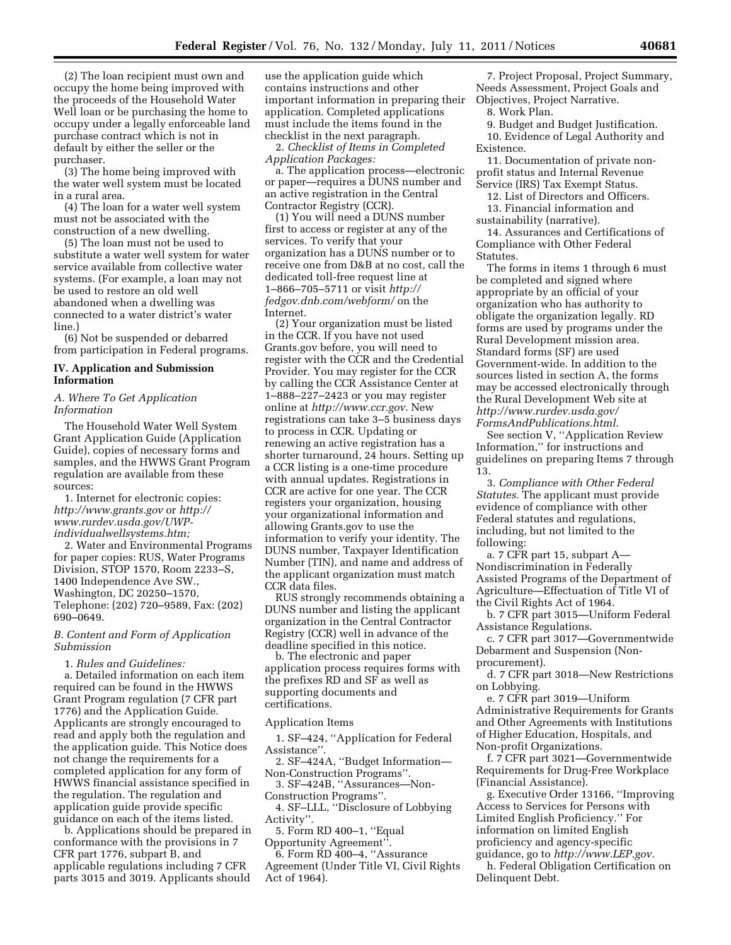(2) The loan recipient must own and occupy the home being improved with the proceeds of the Household Water Well loan or be purchasing the home to occupy under a legally enforceable land purchase contract which is not in default by either the seller or the purchaser.

(3) The home being improved with the water well system must be located in a rural area.

(4) The loan for a water well system must not be associated with the construction of a new dwelling.

(5) The loan must not be used to substitute a water well system for water service available from collective water systems. (For example, a loan may not be used to restore an old well abandoned when a dwelling was connected to a water district's water line.)

(6) Not be suspended or debarred from participation in Federal programs.

# **IV. Application and Submission Information**

### *A. Where To Get Application Information*

The Household Water Well System Grant Application Guide (Application Guide), copies of necessary forms and samples, and the HWWS Grant Program regulation are available from these sources:

1. Internet for electronic copies: *<http://www.grants.gov>*or *[http://](http://www.rurdev.usda.gov/UWP-individualwellsystems.htm)  [www.rurdev.usda.gov/UWP](http://www.rurdev.usda.gov/UWP-individualwellsystems.htm)[individualwellsystems.htm;](http://www.rurdev.usda.gov/UWP-individualwellsystems.htm)* 

2. Water and Environmental Programs for paper copies: RUS, Water Programs Division, STOP 1570, Room 2233–S, 1400 Independence Ave SW., Washington, DC 20250–1570, Telephone: (202) 720–9589, Fax: (202) 690–0649.

### *B. Content and Form of Application Submission*

#### 1. *Rules and Guidelines:*

a. Detailed information on each item required can be found in the HWWS Grant Program regulation (7 CFR part 1776) and the Application Guide. Applicants are strongly encouraged to read and apply both the regulation and the application guide. This Notice does not change the requirements for a completed application for any form of HWWS financial assistance specified in the regulation. The regulation and application guide provide specific guidance on each of the items listed.

b. Applications should be prepared in conformance with the provisions in 7 CFR part 1776, subpart B, and applicable regulations including 7 CFR parts 3015 and 3019. Applicants should

use the application guide which contains instructions and other important information in preparing their application. Completed applications must include the items found in the checklist in the next paragraph.

2. *Checklist of Items in Completed Application Packages:* 

a. The application process—electronic or paper—requires a DUNS number and an active registration in the Central Contractor Registry (CCR).

(1) You will need a DUNS number first to access or register at any of the services. To verify that your organization has a DUNS number or to receive one from D&B at no cost, call the dedicated toll-free request line at 1–866–705–5711 or visit *[http://](http://fedgov.dnb.com/webform/) [fedgov.dnb.com/webform/](http://fedgov.dnb.com/webform/)* on the Internet.

(2) Your organization must be listed in the CCR. If you have not used Grants.gov before, you will need to register with the CCR and the Credential Provider. You may register for the CCR by calling the CCR Assistance Center at 1–888–227–2423 or you may register online at *[http://www.ccr.gov.](http://www.ccr.gov)* New registrations can take 3–5 business days to process in CCR. Updating or renewing an active registration has a shorter turnaround, 24 hours. Setting up a CCR listing is a one-time procedure with annual updates. Registrations in CCR are active for one year. The CCR registers your organization, housing your organizational information and allowing Grants.gov to use the information to verify your identity. The DUNS number, Taxpayer Identification Number (TIN), and name and address of the applicant organization must match CCR data files.

RUS strongly recommends obtaining a DUNS number and listing the applicant organization in the Central Contractor Registry (CCR) well in advance of the deadline specified in this notice.

b. The electronic and paper application process requires forms with the prefixes RD and SF as well as supporting documents and certifications.

### Application Items

1. SF–424, ''Application for Federal Assistance''.

2. SF–424A, ''Budget Information— Non-Construction Programs''.

3. SF–424B, ''Assurances—Non-Construction Programs''.

4. SF–LLL, ''Disclosure of Lobbying Activity''.

5. Form RD 400–1, ''Equal

Opportunity Agreement''.

6. Form RD 400–4, ''Assurance Agreement (Under Title VI, Civil Rights Act of 1964).

7. Project Proposal, Project Summary, Needs Assessment, Project Goals and Objectives, Project Narrative.

8. Work Plan.

9. Budget and Budget Justification. 10. Evidence of Legal Authority and Existence.

11. Documentation of private nonprofit status and Internal Revenue Service (IRS) Tax Exempt Status.

12. List of Directors and Officers. 13. Financial information and

sustainability (narrative).

14. Assurances and Certifications of Compliance with Other Federal **Statutes** 

The forms in items 1 through 6 must be completed and signed where appropriate by an official of your organization who has authority to obligate the organization legally. RD forms are used by programs under the Rural Development mission area. Standard forms (SF) are used Government-wide. In addition to the sources listed in section A, the forms may be accessed electronically through the Rural Development Web site at *[http://www.rurdev.usda.gov/](http://www.rurdev.usda.gov/FormsAndPublications.html) [FormsAndPublications.html.](http://www.rurdev.usda.gov/FormsAndPublications.html)* 

See section V, ''Application Review Information,'' for instructions and guidelines on preparing Items 7 through 13.

3. *Compliance with Other Federal Statutes.* The applicant must provide evidence of compliance with other Federal statutes and regulations, including, but not limited to the following:

a. 7 CFR part 15, subpart A— Nondiscrimination in Federally Assisted Programs of the Department of Agriculture—Effectuation of Title VI of the Civil Rights Act of 1964.

b. 7 CFR part 3015—Uniform Federal Assistance Regulations.

c. 7 CFR part 3017—Governmentwide Debarment and Suspension (Nonprocurement).

d. 7 CFR part 3018—New Restrictions on Lobbying.

e. 7 CFR part 3019—Uniform Administrative Requirements for Grants and Other Agreements with Institutions of Higher Education, Hospitals, and Non-profit Organizations.

f. 7 CFR part 3021—Governmentwide Requirements for Drug-Free Workplace (Financial Assistance).

g. Executive Order 13166, ''Improving Access to Services for Persons with Limited English Proficiency.'' For information on limited English proficiency and agency-specific guidance, go to *[http://www.LEP.gov.](http://www.LEP.gov)* 

h. Federal Obligation Certification on Delinquent Debt.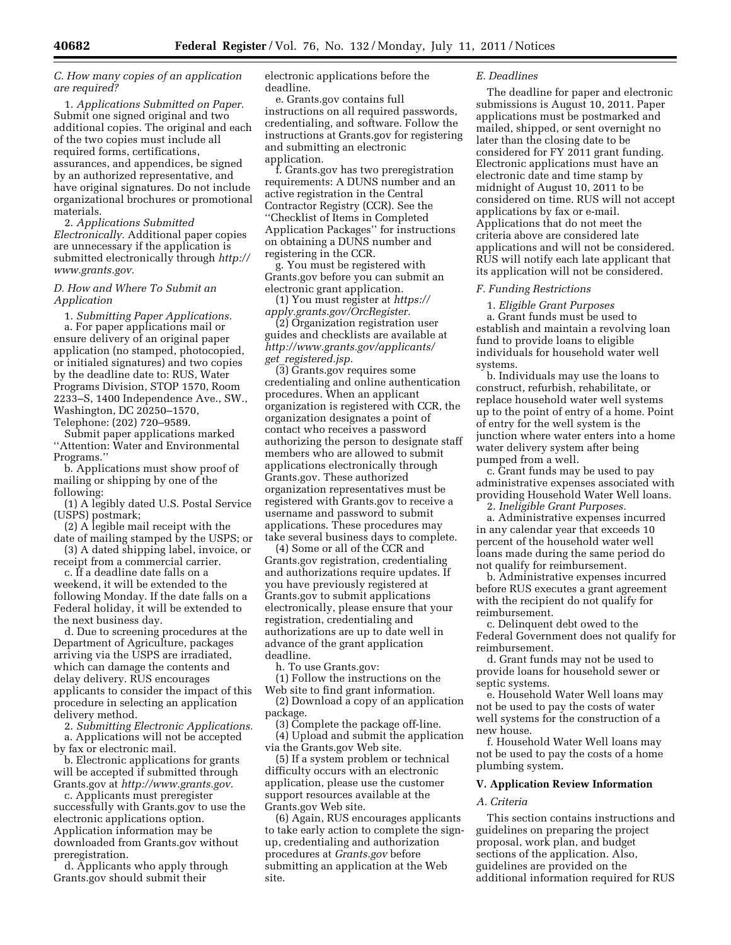*C. How many copies of an application are required?* 

1. *Applications Submitted on Paper.*  Submit one signed original and two additional copies. The original and each of the two copies must include all required forms, certifications, assurances, and appendices, be signed by an authorized representative, and have original signatures. Do not include organizational brochures or promotional materials.

2. *Applications Submitted Electronically.* Additional paper copies are unnecessary if the application is submitted electronically through *[http://](http://www.grants.gov) [www.grants.gov.](http://www.grants.gov)* 

*D. How and Where To Submit an Application* 

1. *Submitting Paper Applications.*  a. For paper applications mail or ensure delivery of an original paper application (no stamped, photocopied, or initialed signatures) and two copies by the deadline date to: RUS, Water Programs Division, STOP 1570, Room 2233–S, 1400 Independence Ave., SW., Washington, DC 20250–1570, Telephone: (202) 720–9589.

Submit paper applications marked ''Attention: Water and Environmental Programs.''

b. Applications must show proof of mailing or shipping by one of the following:

(1) A legibly dated U.S. Postal Service (USPS) postmark;

(2) A legible mail receipt with the date of mailing stamped by the USPS; or

(3) A dated shipping label, invoice, or receipt from a commercial carrier.

c. If a deadline date falls on a weekend, it will be extended to the following Monday. If the date falls on a Federal holiday, it will be extended to the next business day.

d. Due to screening procedures at the Department of Agriculture, packages arriving via the USPS are irradiated, which can damage the contents and delay delivery. RUS encourages applicants to consider the impact of this procedure in selecting an application delivery method.

2. *Submitting Electronic Applications.*  a. Applications will not be accepted

by fax or electronic mail. b. Electronic applications for grants will be accepted if submitted through

Grants.gov at *[http://www.grants.gov.](http://www.grants.gov)*  c. Applicants must preregister

successfully with Grants.gov to use the electronic applications option. Application information may be downloaded from Grants.gov without preregistration.

d. Applicants who apply through Grants.gov should submit their

electronic applications before the deadline.

e. Grants.gov contains full instructions on all required passwords, credentialing, and software. Follow the instructions at Grants.gov for registering and submitting an electronic application.

f. Grants.gov has two preregistration requirements: A DUNS number and an active registration in the Central Contractor Registry (CCR). See the ''Checklist of Items in Completed Application Packages'' for instructions on obtaining a DUNS number and registering in the CCR.

g. You must be registered with Grants.gov before you can submit an electronic grant application.

(1) You must register at *[https://](https://apply.grants.gov/OrcRegister) [apply.grants.gov/OrcRegister.](https://apply.grants.gov/OrcRegister)* 

(2) Organization registration user guides and checklists are available at *[http://www.grants.gov/applicants/](http://www.grants.gov/applicants/get_registered.jsp) get*\_*[registered.jsp.](http://www.grants.gov/applicants/get_registered.jsp)* 

(3) Grants.gov requires some credentialing and online authentication procedures. When an applicant organization is registered with CCR, the organization designates a point of contact who receives a password authorizing the person to designate staff members who are allowed to submit applications electronically through Grants.gov. These authorized organization representatives must be registered with Grants.gov to receive a username and password to submit applications. These procedures may take several business days to complete.

(4) Some or all of the CCR and Grants.gov registration, credentialing and authorizations require updates. If you have previously registered at Grants.gov to submit applications electronically, please ensure that your registration, credentialing and authorizations are up to date well in advance of the grant application deadline.

h. To use Grants.gov:

(1) Follow the instructions on the Web site to find grant information.

(2) Download a copy of an application package.

(3) Complete the package off-line. (4) Upload and submit the application

via the Grants.gov Web site. (5) If a system problem or technical difficulty occurs with an electronic application, please use the customer support resources available at the Grants.gov Web site.

(6) Again, RUS encourages applicants to take early action to complete the signup, credentialing and authorization procedures at *Grants.gov* before submitting an application at the Web site.

#### *E. Deadlines*

The deadline for paper and electronic submissions is August 10, 2011. Paper applications must be postmarked and mailed, shipped, or sent overnight no later than the closing date to be considered for FY 2011 grant funding. Electronic applications must have an electronic date and time stamp by midnight of August 10, 2011 to be considered on time. RUS will not accept applications by fax or e-mail. Applications that do not meet the criteria above are considered late applications and will not be considered. RUS will notify each late applicant that its application will not be considered.

### *F. Funding Restrictions*

1. *Eligible Grant Purposes* 

a. Grant funds must be used to establish and maintain a revolving loan fund to provide loans to eligible individuals for household water well systems.

b. Individuals may use the loans to construct, refurbish, rehabilitate, or replace household water well systems up to the point of entry of a home. Point of entry for the well system is the junction where water enters into a home water delivery system after being pumped from a well.

c. Grant funds may be used to pay administrative expenses associated with providing Household Water Well loans.

2. *Ineligible Grant Purposes.* 

a. Administrative expenses incurred in any calendar year that exceeds 10 percent of the household water well loans made during the same period do not qualify for reimbursement.

b. Administrative expenses incurred before RUS executes a grant agreement with the recipient do not qualify for reimbursement.

c. Delinquent debt owed to the Federal Government does not qualify for reimbursement.

d. Grant funds may not be used to provide loans for household sewer or septic systems.

e. Household Water Well loans may not be used to pay the costs of water well systems for the construction of a new house.

f. Household Water Well loans may not be used to pay the costs of a home plumbing system.

### **V. Application Review Information**

#### *A. Criteria*

This section contains instructions and guidelines on preparing the project proposal, work plan, and budget sections of the application. Also, guidelines are provided on the additional information required for RUS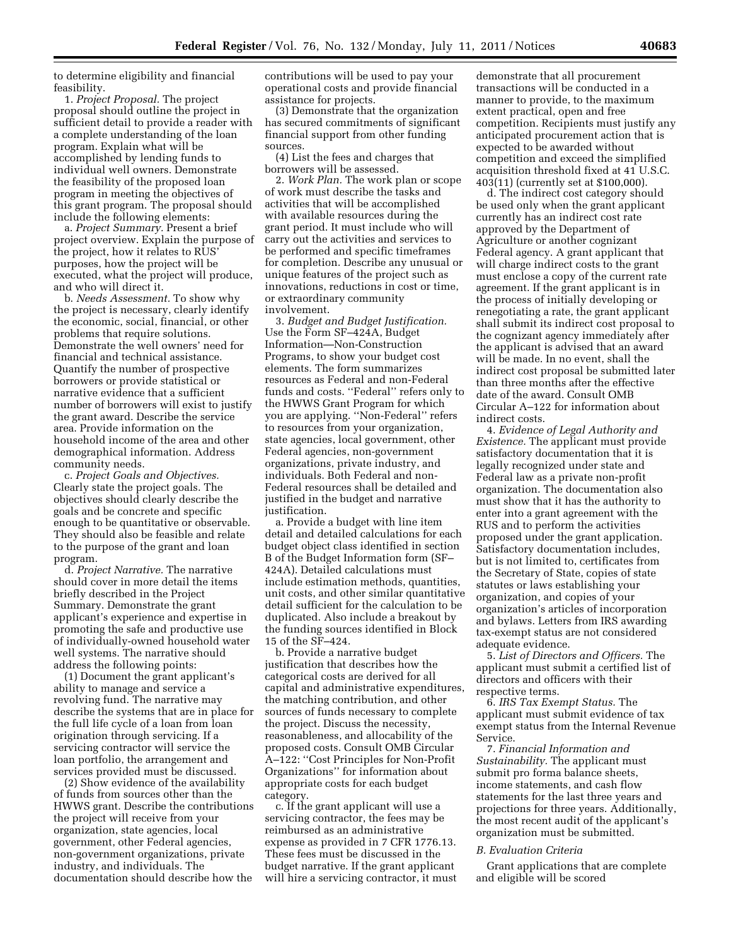to determine eligibility and financial feasibility.

1. *Project Proposal.* The project proposal should outline the project in sufficient detail to provide a reader with a complete understanding of the loan program. Explain what will be accomplished by lending funds to individual well owners. Demonstrate the feasibility of the proposed loan program in meeting the objectives of this grant program. The proposal should include the following elements:

a. *Project Summary.* Present a brief project overview. Explain the purpose of the project, how it relates to RUS' purposes, how the project will be executed, what the project will produce, and who will direct it.

b. *Needs Assessment.* To show why the project is necessary, clearly identify the economic, social, financial, or other problems that require solutions. Demonstrate the well owners' need for financial and technical assistance. Quantify the number of prospective borrowers or provide statistical or narrative evidence that a sufficient number of borrowers will exist to justify the grant award. Describe the service area. Provide information on the household income of the area and other demographical information. Address community needs.

c. *Project Goals and Objectives.*  Clearly state the project goals. The objectives should clearly describe the goals and be concrete and specific enough to be quantitative or observable. They should also be feasible and relate to the purpose of the grant and loan program.

d. *Project Narrative.* The narrative should cover in more detail the items briefly described in the Project Summary. Demonstrate the grant applicant's experience and expertise in promoting the safe and productive use of individually-owned household water well systems. The narrative should address the following points:

(1) Document the grant applicant's ability to manage and service a revolving fund. The narrative may describe the systems that are in place for the full life cycle of a loan from loan origination through servicing. If a servicing contractor will service the loan portfolio, the arrangement and services provided must be discussed.

(2) Show evidence of the availability of funds from sources other than the HWWS grant. Describe the contributions the project will receive from your organization, state agencies, local government, other Federal agencies, non-government organizations, private industry, and individuals. The documentation should describe how the

contributions will be used to pay your operational costs and provide financial assistance for projects.

(3) Demonstrate that the organization has secured commitments of significant financial support from other funding sources.

(4) List the fees and charges that borrowers will be assessed.

2. *Work Plan.* The work plan or scope of work must describe the tasks and activities that will be accomplished with available resources during the grant period. It must include who will carry out the activities and services to be performed and specific timeframes for completion. Describe any unusual or unique features of the project such as innovations, reductions in cost or time, or extraordinary community involvement.

3. *Budget and Budget Justification.*  Use the Form SF–424A, Budget Information—Non-Construction Programs, to show your budget cost elements. The form summarizes resources as Federal and non-Federal funds and costs. ''Federal'' refers only to the HWWS Grant Program for which you are applying. ''Non-Federal'' refers to resources from your organization, state agencies, local government, other Federal agencies, non-government organizations, private industry, and individuals. Both Federal and non-Federal resources shall be detailed and justified in the budget and narrative justification.

a. Provide a budget with line item detail and detailed calculations for each budget object class identified in section B of the Budget Information form (SF– 424A). Detailed calculations must include estimation methods, quantities, unit costs, and other similar quantitative detail sufficient for the calculation to be duplicated. Also include a breakout by the funding sources identified in Block 15 of the SF–424.

b. Provide a narrative budget justification that describes how the categorical costs are derived for all capital and administrative expenditures, the matching contribution, and other sources of funds necessary to complete the project. Discuss the necessity, reasonableness, and allocability of the proposed costs. Consult OMB Circular A–122: ''Cost Principles for Non-Profit Organizations'' for information about appropriate costs for each budget category.

c. If the grant applicant will use a servicing contractor, the fees may be reimbursed as an administrative expense as provided in 7 CFR 1776.13. These fees must be discussed in the budget narrative. If the grant applicant will hire a servicing contractor, it must

demonstrate that all procurement transactions will be conducted in a manner to provide, to the maximum extent practical, open and free competition. Recipients must justify any anticipated procurement action that is expected to be awarded without competition and exceed the simplified acquisition threshold fixed at 41 U.S.C. 403(11) (currently set at \$100,000).

d. The indirect cost category should be used only when the grant applicant currently has an indirect cost rate approved by the Department of Agriculture or another cognizant Federal agency. A grant applicant that will charge indirect costs to the grant must enclose a copy of the current rate agreement. If the grant applicant is in the process of initially developing or renegotiating a rate, the grant applicant shall submit its indirect cost proposal to the cognizant agency immediately after the applicant is advised that an award will be made. In no event, shall the indirect cost proposal be submitted later than three months after the effective date of the award. Consult OMB Circular A–122 for information about indirect costs.

4. *Evidence of Legal Authority and Existence.* The applicant must provide satisfactory documentation that it is legally recognized under state and Federal law as a private non-profit organization. The documentation also must show that it has the authority to enter into a grant agreement with the RUS and to perform the activities proposed under the grant application. Satisfactory documentation includes, but is not limited to, certificates from the Secretary of State, copies of state statutes or laws establishing your organization, and copies of your organization's articles of incorporation and bylaws. Letters from IRS awarding tax-exempt status are not considered adequate evidence.

5. *List of Directors and Officers.* The applicant must submit a certified list of directors and officers with their respective terms.

6. *IRS Tax Exempt Status.* The applicant must submit evidence of tax exempt status from the Internal Revenue Service.

7. *Financial Information and Sustainability.* The applicant must submit pro forma balance sheets, income statements, and cash flow statements for the last three years and projections for three years. Additionally, the most recent audit of the applicant's organization must be submitted.

#### *B. Evaluation Criteria*

Grant applications that are complete and eligible will be scored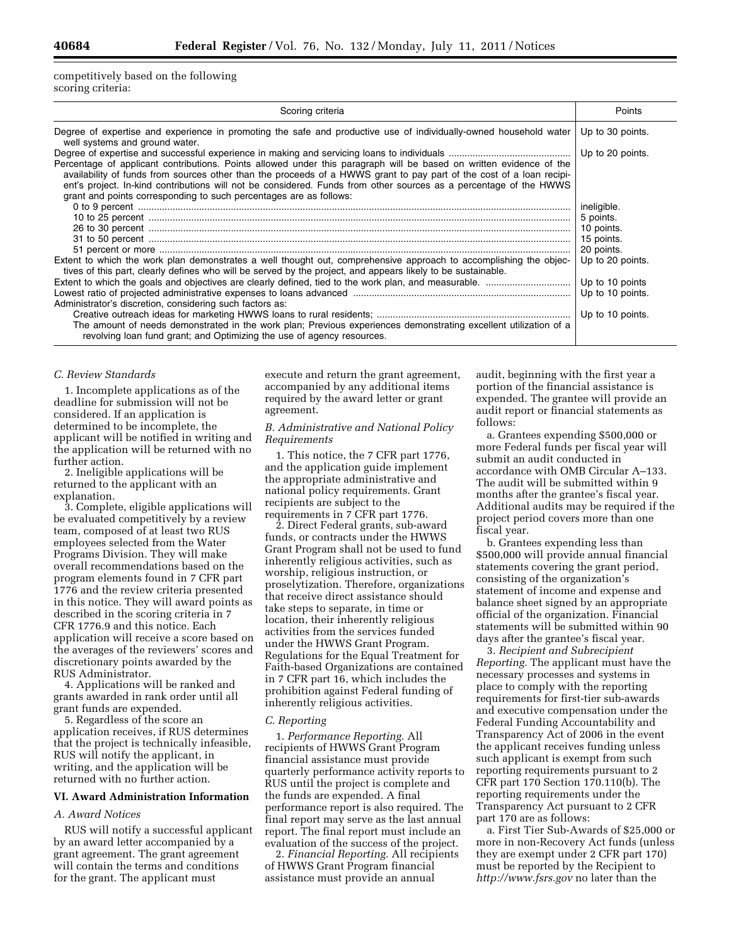competitively based on the following scoring criteria:

| Scoring criteria                                                                                                                                                                                                                                                                                                                                                                                                                       | Points                                |
|----------------------------------------------------------------------------------------------------------------------------------------------------------------------------------------------------------------------------------------------------------------------------------------------------------------------------------------------------------------------------------------------------------------------------------------|---------------------------------------|
| Degree of expertise and experience in promoting the safe and productive use of individually-owned household water<br>well systems and ground water.                                                                                                                                                                                                                                                                                    | Up to 30 points.                      |
| Percentage of applicant contributions. Points allowed under this paragraph will be based on written evidence of the<br>availability of funds from sources other than the proceeds of a HWWS grant to pay part of the cost of a loan recipi-<br>ent's project. In-kind contributions will not be considered. Funds from other sources as a percentage of the HWWS<br>grant and points corresponding to such percentages are as follows: | Up to 20 points.                      |
|                                                                                                                                                                                                                                                                                                                                                                                                                                        | ineligible.                           |
|                                                                                                                                                                                                                                                                                                                                                                                                                                        | 5 points.<br>10 points.<br>15 points. |
| Extent to which the work plan demonstrates a well thought out, comprehensive approach to accomplishing the objec-<br>tives of this part, clearly defines who will be served by the project, and appears likely to be sustainable.                                                                                                                                                                                                      | 20 points.<br>Up to 20 points.        |
| Administrator's discretion, considering such factors as:                                                                                                                                                                                                                                                                                                                                                                               | Up to 10 points<br>Up to 10 points.   |
| The amount of needs demonstrated in the work plan; Previous experiences demonstrating excellent utilization of a<br>revolving loan fund grant; and Optimizing the use of agency resources.                                                                                                                                                                                                                                             | Up to 10 points.                      |

#### *C. Review Standards*

1. Incomplete applications as of the deadline for submission will not be considered. If an application is determined to be incomplete, the applicant will be notified in writing and the application will be returned with no further action.

2. Ineligible applications will be returned to the applicant with an explanation.

3. Complete, eligible applications will be evaluated competitively by a review team, composed of at least two RUS employees selected from the Water Programs Division. They will make overall recommendations based on the program elements found in 7 CFR part 1776 and the review criteria presented in this notice. They will award points as described in the scoring criteria in 7 CFR 1776.9 and this notice. Each application will receive a score based on the averages of the reviewers' scores and discretionary points awarded by the RUS Administrator.

4. Applications will be ranked and grants awarded in rank order until all grant funds are expended.

5. Regardless of the score an application receives, if RUS determines that the project is technically infeasible, RUS will notify the applicant, in writing, and the application will be returned with no further action.

### **VI. Award Administration Information**

### *A. Award Notices*

RUS will notify a successful applicant by an award letter accompanied by a grant agreement. The grant agreement will contain the terms and conditions for the grant. The applicant must

execute and return the grant agreement, accompanied by any additional items required by the award letter or grant agreement.

# *B. Administrative and National Policy Requirements*

1. This notice, the 7 CFR part 1776, and the application guide implement the appropriate administrative and national policy requirements. Grant recipients are subject to the requirements in 7 CFR part 1776.

2. Direct Federal grants, sub-award funds, or contracts under the HWWS Grant Program shall not be used to fund inherently religious activities, such as worship, religious instruction, or proselytization. Therefore, organizations that receive direct assistance should take steps to separate, in time or location, their inherently religious activities from the services funded under the HWWS Grant Program. Regulations for the Equal Treatment for Faith-based Organizations are contained in 7 CFR part 16, which includes the prohibition against Federal funding of inherently religious activities.

#### *C. Reporting*

1. *Performance Reporting.* All recipients of HWWS Grant Program financial assistance must provide quarterly performance activity reports to RUS until the project is complete and the funds are expended. A final performance report is also required. The final report may serve as the last annual report. The final report must include an evaluation of the success of the project.

2. *Financial Reporting.* All recipients of HWWS Grant Program financial assistance must provide an annual

audit, beginning with the first year a portion of the financial assistance is expended. The grantee will provide an audit report or financial statements as follows:

a. Grantees expending \$500,000 or more Federal funds per fiscal year will submit an audit conducted in accordance with OMB Circular A–133. The audit will be submitted within 9 months after the grantee's fiscal year. Additional audits may be required if the project period covers more than one fiscal year.

b. Grantees expending less than \$500,000 will provide annual financial statements covering the grant period, consisting of the organization's statement of income and expense and balance sheet signed by an appropriate official of the organization. Financial statements will be submitted within 90 days after the grantee's fiscal year.

3. *Recipient and Subrecipient Reporting.* The applicant must have the necessary processes and systems in place to comply with the reporting requirements for first-tier sub-awards and executive compensation under the Federal Funding Accountability and Transparency Act of 2006 in the event the applicant receives funding unless such applicant is exempt from such reporting requirements pursuant to 2 CFR part 170 Section 170.110(b). The reporting requirements under the Transparency Act pursuant to 2 CFR part 170 are as follows:

a. First Tier Sub-Awards of \$25,000 or more in non-Recovery Act funds (unless they are exempt under 2 CFR part 170) must be reported by the Recipient to *<http://www.fsrs.gov>*no later than the